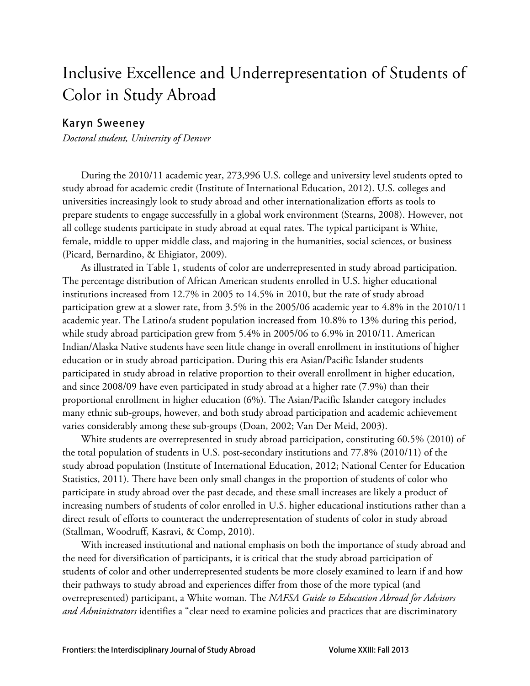# Inclusive Excellence and Underrepresentation of Students of Color in Study Abroad

# **Karyn Sweeney**

*Doctoral student, University of Denver* 

During the 2010/11 academic year, 273,996 U.S. college and university level students opted to study abroad for academic credit (Institute of International Education, 2012). U.S. colleges and universities increasingly look to study abroad and other internationalization efforts as tools to prepare students to engage successfully in a global work environment (Stearns, 2008). However, not all college students participate in study abroad at equal rates. The typical participant is White, female, middle to upper middle class, and majoring in the humanities, social sciences, or business (Picard, Bernardino, & Ehigiator, 2009).

As illustrated in Table 1, students of color are underrepresented in study abroad participation. The percentage distribution of African American students enrolled in U.S. higher educational institutions increased from 12.7% in 2005 to 14.5% in 2010, but the rate of study abroad participation grew at a slower rate, from 3.5% in the 2005/06 academic year to 4.8% in the 2010/11 academic year. The Latino/a student population increased from 10.8% to 13% during this period, while study abroad participation grew from 5.4% in 2005/06 to 6.9% in 2010/11. American Indian/Alaska Native students have seen little change in overall enrollment in institutions of higher education or in study abroad participation. During this era Asian/Pacific Islander students participated in study abroad in relative proportion to their overall enrollment in higher education, and since 2008/09 have even participated in study abroad at a higher rate (7.9%) than their proportional enrollment in higher education (6%). The Asian/Pacific Islander category includes many ethnic sub-groups, however, and both study abroad participation and academic achievement varies considerably among these sub-groups (Doan, 2002; Van Der Meid, 2003).

White students are overrepresented in study abroad participation, constituting 60.5% (2010) of the total population of students in U.S. post-secondary institutions and 77.8% (2010/11) of the study abroad population (Institute of International Education, 2012; National Center for Education Statistics, 2011). There have been only small changes in the proportion of students of color who participate in study abroad over the past decade, and these small increases are likely a product of increasing numbers of students of color enrolled in U.S. higher educational institutions rather than a direct result of efforts to counteract the underrepresentation of students of color in study abroad (Stallman, Woodruff, Kasravi, & Comp, 2010).

With increased institutional and national emphasis on both the importance of study abroad and the need for diversification of participants, it is critical that the study abroad participation of students of color and other underrepresented students be more closely examined to learn if and how their pathways to study abroad and experiences differ from those of the more typical (and overrepresented) participant, a White woman. The *NAFSA Guide to Education Abroad for Advisors and Administrators* identifies a "clear need to examine policies and practices that are discriminatory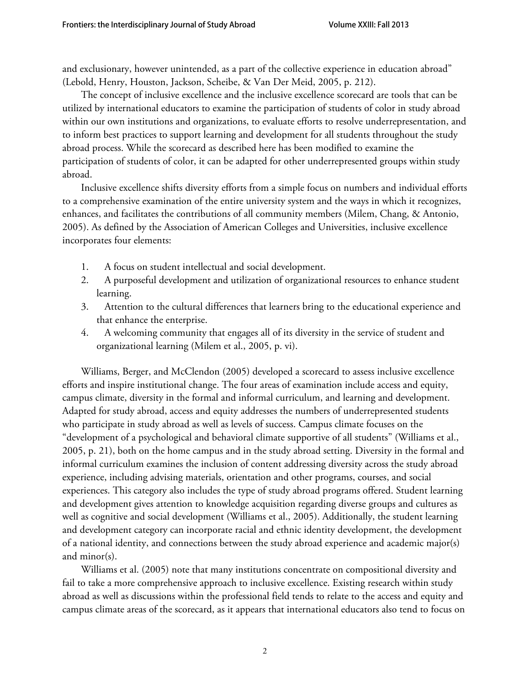and exclusionary, however unintended, as a part of the collective experience in education abroad" (Lebold, Henry, Houston, Jackson, Scheibe, & Van Der Meid, 2005, p. 212).

The concept of inclusive excellence and the inclusive excellence scorecard are tools that can be utilized by international educators to examine the participation of students of color in study abroad within our own institutions and organizations, to evaluate efforts to resolve underrepresentation, and to inform best practices to support learning and development for all students throughout the study abroad process. While the scorecard as described here has been modified to examine the participation of students of color, it can be adapted for other underrepresented groups within study abroad.

Inclusive excellence shifts diversity efforts from a simple focus on numbers and individual efforts to a comprehensive examination of the entire university system and the ways in which it recognizes, enhances, and facilitates the contributions of all community members (Milem, Chang, & Antonio, 2005). As defined by the Association of American Colleges and Universities, inclusive excellence incorporates four elements:

- 1. A focus on student intellectual and social development.
- 2. A purposeful development and utilization of organizational resources to enhance student learning.
- 3. Attention to the cultural differences that learners bring to the educational experience and that enhance the enterprise.
- 4. A welcoming community that engages all of its diversity in the service of student and organizational learning (Milem et al., 2005, p. vi).

Williams, Berger, and McClendon (2005) developed a scorecard to assess inclusive excellence efforts and inspire institutional change. The four areas of examination include access and equity, campus climate, diversity in the formal and informal curriculum, and learning and development. Adapted for study abroad, access and equity addresses the numbers of underrepresented students who participate in study abroad as well as levels of success. Campus climate focuses on the "development of a psychological and behavioral climate supportive of all students" (Williams et al., 2005, p. 21), both on the home campus and in the study abroad setting. Diversity in the formal and informal curriculum examines the inclusion of content addressing diversity across the study abroad experience, including advising materials, orientation and other programs, courses, and social experiences. This category also includes the type of study abroad programs offered. Student learning and development gives attention to knowledge acquisition regarding diverse groups and cultures as well as cognitive and social development (Williams et al., 2005). Additionally, the student learning and development category can incorporate racial and ethnic identity development, the development of a national identity, and connections between the study abroad experience and academic major(s) and minor(s).

Williams et al. (2005) note that many institutions concentrate on compositional diversity and fail to take a more comprehensive approach to inclusive excellence. Existing research within study abroad as well as discussions within the professional field tends to relate to the access and equity and campus climate areas of the scorecard, as it appears that international educators also tend to focus on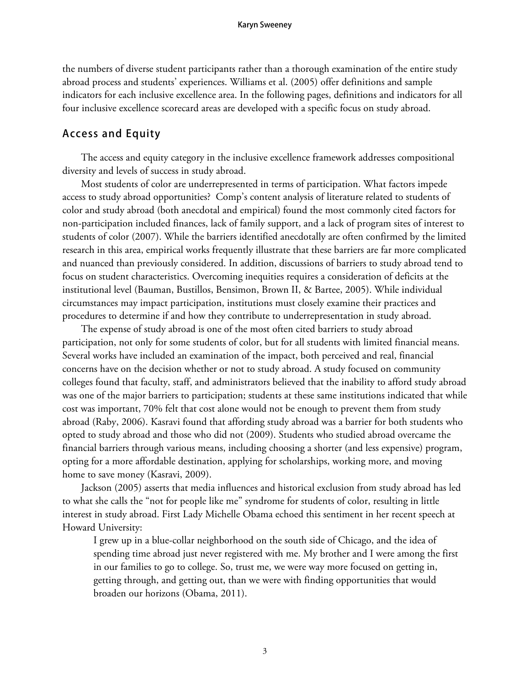the numbers of diverse student participants rather than a thorough examination of the entire study abroad process and students' experiences. Williams et al. (2005) offer definitions and sample indicators for each inclusive excellence area. In the following pages, definitions and indicators for all four inclusive excellence scorecard areas are developed with a specific focus on study abroad.

### **Access and Equity**

The access and equity category in the inclusive excellence framework addresses compositional diversity and levels of success in study abroad.

Most students of color are underrepresented in terms of participation. What factors impede access to study abroad opportunities? Comp's content analysis of literature related to students of color and study abroad (both anecdotal and empirical) found the most commonly cited factors for non-participation included finances, lack of family support, and a lack of program sites of interest to students of color (2007). While the barriers identified anecdotally are often confirmed by the limited research in this area, empirical works frequently illustrate that these barriers are far more complicated and nuanced than previously considered. In addition, discussions of barriers to study abroad tend to focus on student characteristics. Overcoming inequities requires a consideration of deficits at the institutional level (Bauman, Bustillos, Bensimon, Brown II, & Bartee, 2005). While individual circumstances may impact participation, institutions must closely examine their practices and procedures to determine if and how they contribute to underrepresentation in study abroad.

The expense of study abroad is one of the most often cited barriers to study abroad participation, not only for some students of color, but for all students with limited financial means. Several works have included an examination of the impact, both perceived and real, financial concerns have on the decision whether or not to study abroad. A study focused on community colleges found that faculty, staff, and administrators believed that the inability to afford study abroad was one of the major barriers to participation; students at these same institutions indicated that while cost was important, 70% felt that cost alone would not be enough to prevent them from study abroad (Raby, 2006). Kasravi found that affording study abroad was a barrier for both students who opted to study abroad and those who did not (2009). Students who studied abroad overcame the financial barriers through various means, including choosing a shorter (and less expensive) program, opting for a more affordable destination, applying for scholarships, working more, and moving home to save money (Kasravi, 2009).

Jackson (2005) asserts that media influences and historical exclusion from study abroad has led to what she calls the "not for people like me" syndrome for students of color, resulting in little interest in study abroad. First Lady Michelle Obama echoed this sentiment in her recent speech at Howard University:

I grew up in a blue-collar neighborhood on the south side of Chicago, and the idea of spending time abroad just never registered with me. My brother and I were among the first in our families to go to college. So, trust me, we were way more focused on getting in, getting through, and getting out, than we were with finding opportunities that would broaden our horizons (Obama, 2011).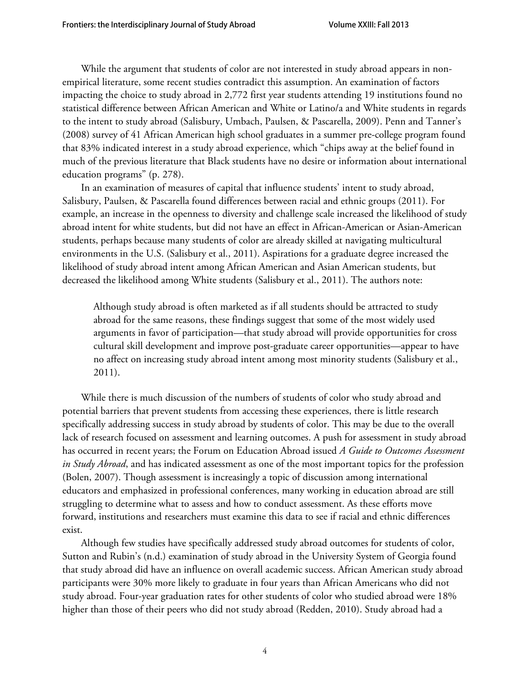While the argument that students of color are not interested in study abroad appears in nonempirical literature, some recent studies contradict this assumption. An examination of factors impacting the choice to study abroad in 2,772 first year students attending 19 institutions found no statistical difference between African American and White or Latino/a and White students in regards to the intent to study abroad (Salisbury, Umbach, Paulsen, & Pascarella, 2009). Penn and Tanner's (2008) survey of 41 African American high school graduates in a summer pre-college program found that 83% indicated interest in a study abroad experience, which "chips away at the belief found in much of the previous literature that Black students have no desire or information about international education programs" (p. 278).

In an examination of measures of capital that influence students' intent to study abroad, Salisbury, Paulsen, & Pascarella found differences between racial and ethnic groups (2011). For example, an increase in the openness to diversity and challenge scale increased the likelihood of study abroad intent for white students, but did not have an effect in African-American or Asian-American students, perhaps because many students of color are already skilled at navigating multicultural environments in the U.S. (Salisbury et al., 2011). Aspirations for a graduate degree increased the likelihood of study abroad intent among African American and Asian American students, but decreased the likelihood among White students (Salisbury et al., 2011). The authors note:

Although study abroad is often marketed as if all students should be attracted to study abroad for the same reasons, these findings suggest that some of the most widely used arguments in favor of participation—that study abroad will provide opportunities for cross cultural skill development and improve post-graduate career opportunities—appear to have no affect on increasing study abroad intent among most minority students (Salisbury et al., 2011).

While there is much discussion of the numbers of students of color who study abroad and potential barriers that prevent students from accessing these experiences, there is little research specifically addressing success in study abroad by students of color. This may be due to the overall lack of research focused on assessment and learning outcomes. A push for assessment in study abroad has occurred in recent years; the Forum on Education Abroad issued *A Guide to Outcomes Assessment in Study Abroad*, and has indicated assessment as one of the most important topics for the profession (Bolen, 2007). Though assessment is increasingly a topic of discussion among international educators and emphasized in professional conferences, many working in education abroad are still struggling to determine what to assess and how to conduct assessment. As these efforts move forward, institutions and researchers must examine this data to see if racial and ethnic differences exist.

Although few studies have specifically addressed study abroad outcomes for students of color, Sutton and Rubin's (n.d.) examination of study abroad in the University System of Georgia found that study abroad did have an influence on overall academic success. African American study abroad participants were 30% more likely to graduate in four years than African Americans who did not study abroad. Four-year graduation rates for other students of color who studied abroad were 18% higher than those of their peers who did not study abroad (Redden, 2010). Study abroad had a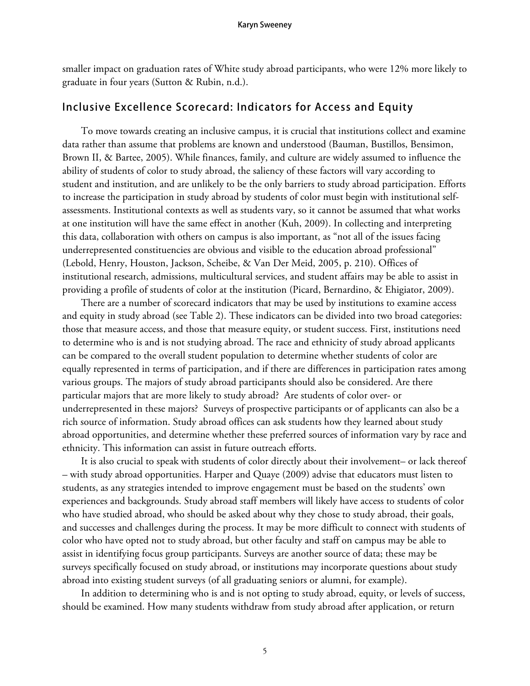smaller impact on graduation rates of White study abroad participants, who were 12% more likely to graduate in four years (Sutton & Rubin, n.d.).

### **Inclusive Excellence Scorecard: Indicators for Access and Equity**

To move towards creating an inclusive campus, it is crucial that institutions collect and examine data rather than assume that problems are known and understood (Bauman, Bustillos, Bensimon, Brown II, & Bartee, 2005). While finances, family, and culture are widely assumed to influence the ability of students of color to study abroad, the saliency of these factors will vary according to student and institution, and are unlikely to be the only barriers to study abroad participation. Efforts to increase the participation in study abroad by students of color must begin with institutional selfassessments. Institutional contexts as well as students vary, so it cannot be assumed that what works at one institution will have the same effect in another (Kuh, 2009). In collecting and interpreting this data, collaboration with others on campus is also important, as "not all of the issues facing underrepresented constituencies are obvious and visible to the education abroad professional" (Lebold, Henry, Houston, Jackson, Scheibe, & Van Der Meid, 2005, p. 210). Offices of institutional research, admissions, multicultural services, and student affairs may be able to assist in providing a profile of students of color at the institution (Picard, Bernardino, & Ehigiator, 2009).

There are a number of scorecard indicators that may be used by institutions to examine access and equity in study abroad (see Table 2). These indicators can be divided into two broad categories: those that measure access, and those that measure equity, or student success. First, institutions need to determine who is and is not studying abroad. The race and ethnicity of study abroad applicants can be compared to the overall student population to determine whether students of color are equally represented in terms of participation, and if there are differences in participation rates among various groups. The majors of study abroad participants should also be considered. Are there particular majors that are more likely to study abroad? Are students of color over- or underrepresented in these majors? Surveys of prospective participants or of applicants can also be a rich source of information. Study abroad offices can ask students how they learned about study abroad opportunities, and determine whether these preferred sources of information vary by race and ethnicity. This information can assist in future outreach efforts.

It is also crucial to speak with students of color directly about their involvement– or lack thereof – with study abroad opportunities. Harper and Quaye (2009) advise that educators must listen to students, as any strategies intended to improve engagement must be based on the students' own experiences and backgrounds. Study abroad staff members will likely have access to students of color who have studied abroad, who should be asked about why they chose to study abroad, their goals, and successes and challenges during the process. It may be more difficult to connect with students of color who have opted not to study abroad, but other faculty and staff on campus may be able to assist in identifying focus group participants. Surveys are another source of data; these may be surveys specifically focused on study abroad, or institutions may incorporate questions about study abroad into existing student surveys (of all graduating seniors or alumni, for example).

In addition to determining who is and is not opting to study abroad, equity, or levels of success, should be examined. How many students withdraw from study abroad after application, or return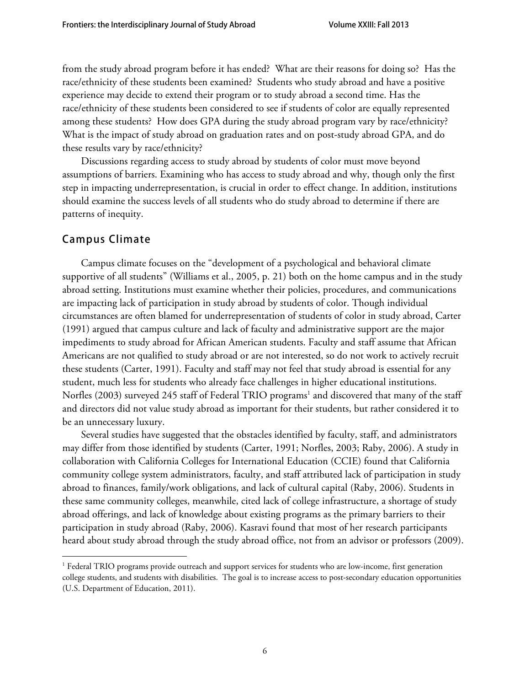from the study abroad program before it has ended? What are their reasons for doing so? Has the race/ethnicity of these students been examined? Students who study abroad and have a positive experience may decide to extend their program or to study abroad a second time. Has the race/ethnicity of these students been considered to see if students of color are equally represented among these students? How does GPA during the study abroad program vary by race/ethnicity? What is the impact of study abroad on graduation rates and on post-study abroad GPA, and do these results vary by race/ethnicity?

Discussions regarding access to study abroad by students of color must move beyond assumptions of barriers. Examining who has access to study abroad and why, though only the first step in impacting underrepresentation, is crucial in order to effect change. In addition, institutions should examine the success levels of all students who do study abroad to determine if there are patterns of inequity.

# **Campus Climate**

Campus climate focuses on the "development of a psychological and behavioral climate supportive of all students" (Williams et al., 2005, p. 21) both on the home campus and in the study abroad setting. Institutions must examine whether their policies, procedures, and communications are impacting lack of participation in study abroad by students of color. Though individual circumstances are often blamed for underrepresentation of students of color in study abroad, Carter (1991) argued that campus culture and lack of faculty and administrative support are the major impediments to study abroad for African American students. Faculty and staff assume that African Americans are not qualified to study abroad or are not interested, so do not work to actively recruit these students (Carter, 1991). Faculty and staff may not feel that study abroad is essential for any student, much less for students who already face challenges in higher educational institutions. Norfles (2003) surveyed 245 staff of Federal TRIO programs<sup>1</sup> and discovered that many of the staff and directors did not value study abroad as important for their students, but rather considered it to be an unnecessary luxury.

Several studies have suggested that the obstacles identified by faculty, staff, and administrators may differ from those identified by students (Carter, 1991; Norfles, 2003; Raby, 2006). A study in collaboration with California Colleges for International Education (CCIE) found that California community college system administrators, faculty, and staff attributed lack of participation in study abroad to finances, family/work obligations, and lack of cultural capital (Raby, 2006). Students in these same community colleges, meanwhile, cited lack of college infrastructure, a shortage of study abroad offerings, and lack of knowledge about existing programs as the primary barriers to their participation in study abroad (Raby, 2006). Kasravi found that most of her research participants heard about study abroad through the study abroad office, not from an advisor or professors (2009).

<sup>&</sup>lt;sup>1</sup> Federal TRIO programs provide outreach and support services for students who are low-income, first generation college students, and students with disabilities. The goal is to increase access to post-secondary education opportunities (U.S. Department of Education, 2011).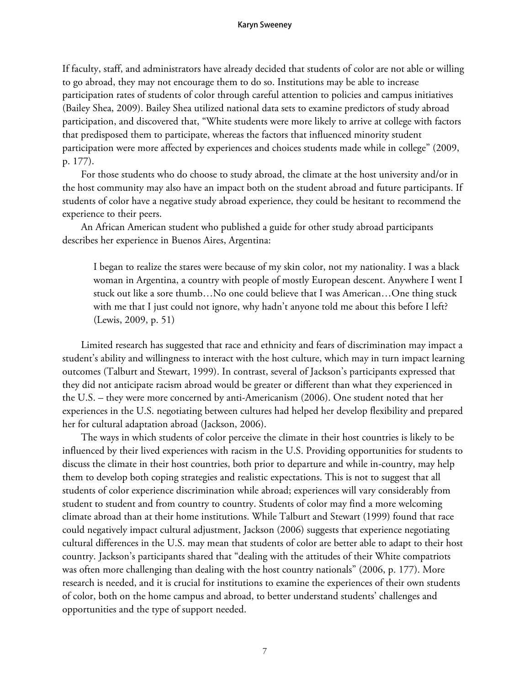#### **Karyn Sweeney**

If faculty, staff, and administrators have already decided that students of color are not able or willing to go abroad, they may not encourage them to do so. Institutions may be able to increase participation rates of students of color through careful attention to policies and campus initiatives (Bailey Shea, 2009). Bailey Shea utilized national data sets to examine predictors of study abroad participation, and discovered that, "White students were more likely to arrive at college with factors that predisposed them to participate, whereas the factors that influenced minority student participation were more affected by experiences and choices students made while in college" (2009, p. 177).

For those students who do choose to study abroad, the climate at the host university and/or in the host community may also have an impact both on the student abroad and future participants. If students of color have a negative study abroad experience, they could be hesitant to recommend the experience to their peers.

An African American student who published a guide for other study abroad participants describes her experience in Buenos Aires, Argentina:

I began to realize the stares were because of my skin color, not my nationality. I was a black woman in Argentina, a country with people of mostly European descent. Anywhere I went I stuck out like a sore thumb…No one could believe that I was American…One thing stuck with me that I just could not ignore, why hadn't anyone told me about this before I left? (Lewis, 2009, p. 51)

Limited research has suggested that race and ethnicity and fears of discrimination may impact a student's ability and willingness to interact with the host culture, which may in turn impact learning outcomes (Talburt and Stewart, 1999). In contrast, several of Jackson's participants expressed that they did not anticipate racism abroad would be greater or different than what they experienced in the U.S. – they were more concerned by anti-Americanism (2006). One student noted that her experiences in the U.S. negotiating between cultures had helped her develop flexibility and prepared her for cultural adaptation abroad (Jackson, 2006).

The ways in which students of color perceive the climate in their host countries is likely to be influenced by their lived experiences with racism in the U.S. Providing opportunities for students to discuss the climate in their host countries, both prior to departure and while in-country, may help them to develop both coping strategies and realistic expectations. This is not to suggest that all students of color experience discrimination while abroad; experiences will vary considerably from student to student and from country to country. Students of color may find a more welcoming climate abroad than at their home institutions. While Talburt and Stewart (1999) found that race could negatively impact cultural adjustment, Jackson (2006) suggests that experience negotiating cultural differences in the U.S. may mean that students of color are better able to adapt to their host country. Jackson's participants shared that "dealing with the attitudes of their White compatriots was often more challenging than dealing with the host country nationals" (2006, p. 177). More research is needed, and it is crucial for institutions to examine the experiences of their own students of color, both on the home campus and abroad, to better understand students' challenges and opportunities and the type of support needed.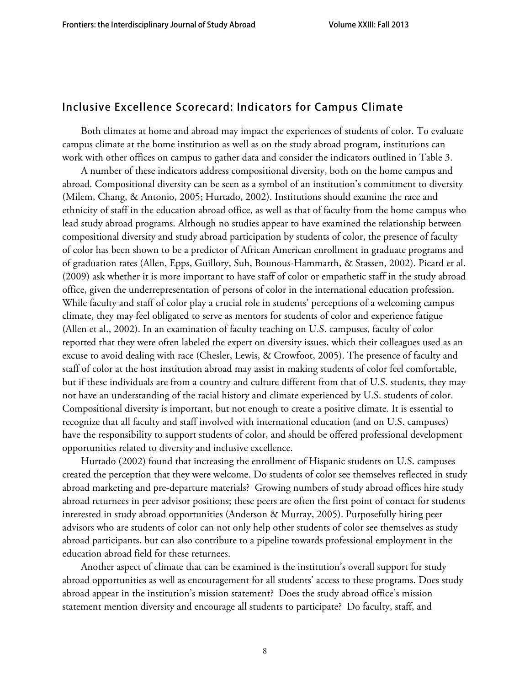# **Inclusive Excellence Scorecard: Indicators for Campus Climate**

Both climates at home and abroad may impact the experiences of students of color. To evaluate campus climate at the home institution as well as on the study abroad program, institutions can work with other offices on campus to gather data and consider the indicators outlined in Table 3.

A number of these indicators address compositional diversity, both on the home campus and abroad. Compositional diversity can be seen as a symbol of an institution's commitment to diversity (Milem, Chang, & Antonio, 2005; Hurtado, 2002). Institutions should examine the race and ethnicity of staff in the education abroad office, as well as that of faculty from the home campus who lead study abroad programs. Although no studies appear to have examined the relationship between compositional diversity and study abroad participation by students of color, the presence of faculty of color has been shown to be a predictor of African American enrollment in graduate programs and of graduation rates (Allen, Epps, Guillory, Suh, Bounous-Hammarth, & Stassen, 2002). Picard et al. (2009) ask whether it is more important to have staff of color or empathetic staff in the study abroad office, given the underrepresentation of persons of color in the international education profession. While faculty and staff of color play a crucial role in students' perceptions of a welcoming campus climate, they may feel obligated to serve as mentors for students of color and experience fatigue (Allen et al., 2002). In an examination of faculty teaching on U.S. campuses, faculty of color reported that they were often labeled the expert on diversity issues, which their colleagues used as an excuse to avoid dealing with race (Chesler, Lewis, & Crowfoot, 2005). The presence of faculty and staff of color at the host institution abroad may assist in making students of color feel comfortable, but if these individuals are from a country and culture different from that of U.S. students, they may not have an understanding of the racial history and climate experienced by U.S. students of color. Compositional diversity is important, but not enough to create a positive climate. It is essential to recognize that all faculty and staff involved with international education (and on U.S. campuses) have the responsibility to support students of color, and should be offered professional development opportunities related to diversity and inclusive excellence.

Hurtado (2002) found that increasing the enrollment of Hispanic students on U.S. campuses created the perception that they were welcome. Do students of color see themselves reflected in study abroad marketing and pre-departure materials? Growing numbers of study abroad offices hire study abroad returnees in peer advisor positions; these peers are often the first point of contact for students interested in study abroad opportunities (Anderson & Murray, 2005). Purposefully hiring peer advisors who are students of color can not only help other students of color see themselves as study abroad participants, but can also contribute to a pipeline towards professional employment in the education abroad field for these returnees.

Another aspect of climate that can be examined is the institution's overall support for study abroad opportunities as well as encouragement for all students' access to these programs. Does study abroad appear in the institution's mission statement? Does the study abroad office's mission statement mention diversity and encourage all students to participate? Do faculty, staff, and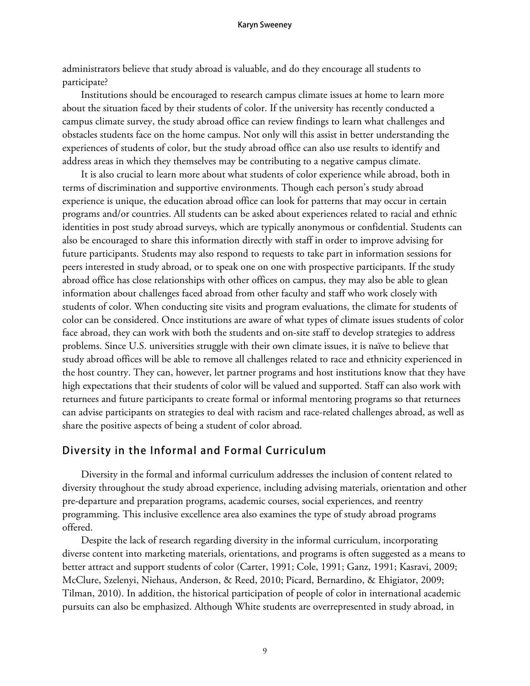#### **Karyn Sweeney**

administrators believe that study abroad is valuable, and do they encourage all students to participate?

Institutions should be encouraged to research campus climate issues at home to learn more about the situation faced by their students of color. If the university has recently conducted a campus climate survey, the study abroad office can review findings to learn what challenges and obstacles students face on the home campus. Not only will this assist in better understanding the experiences of students of color, but the study abroad office can also use results to identify and address areas in which they themselves may be contributing to a negative campus climate.

It is also crucial to learn more about what students of color experience while abroad, both in terms of discrimination and supportive environments. Though each person's study abroad experience is unique, the education abroad office can look for patterns that may occur in certain programs and/or countries. All students can be asked about experiences related to racial and ethnic identities in post study abroad surveys, which are typically anonymous or confidential. Students can also be encouraged to share this information directly with staff in order to improve advising for future participants. Students may also respond to requests to take part in information sessions for peers interested in study abroad, or to speak one on one with prospective participants. If the study abroad office has close relationships with other offices on campus, they may also be able to glean information about challenges faced abroad from other faculty and staff who work closely with students of color. When conducting site visits and program evaluations, the climate for students of color can be considered. Once institutions are aware of what types of climate issues students of color face abroad, they can work with both the students and on-site staff to develop strategies to address problems. Since U.S. universities struggle with their own climate issues, it is naïve to believe that study abroad offices will be able to remove all challenges related to race and ethnicity experienced in the host country. They can, however, let partner programs and host institutions know that they have high expectations that their students of color will be valued and supported. Staff can also work with returnees and future participants to create formal or informal mentoring programs so that returnees can advise participants on strategies to deal with racism and race-related challenges abroad, as well as share the positive aspects of being a student of color abroad.

### **Diversity in the Informal and Formal Curriculum**

Diversity in the formal and informal curriculum addresses the inclusion of content related to diversity throughout the study abroad experience, including advising materials, orientation and other pre-departure and preparation programs, academic courses, social experiences, and reentry programming. This inclusive excellence area also examines the type of study abroad programs offered.

Despite the lack of research regarding diversity in the informal curriculum, incorporating diverse content into marketing materials, orientations, and programs is often suggested as a means to better attract and support students of color (Carter, 1991; Cole, 1991; Ganz, 1991; Kasravi, 2009; McClure, Szelenyi, Niehaus, Anderson, & Reed, 2010; Picard, Bernardino, & Ehigiator, 2009; Tilman, 2010). In addition, the historical participation of people of color in international academic pursuits can also be emphasized. Although White students are overrepresented in study abroad, in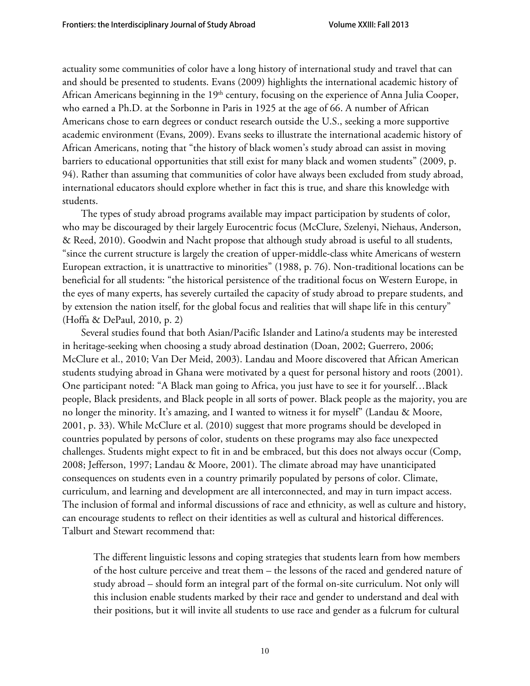actuality some communities of color have a long history of international study and travel that can and should be presented to students. Evans (2009) highlights the international academic history of African Americans beginning in the  $19<sup>th</sup>$  century, focusing on the experience of Anna Julia Cooper, who earned a Ph.D. at the Sorbonne in Paris in 1925 at the age of 66. A number of African Americans chose to earn degrees or conduct research outside the U.S., seeking a more supportive academic environment (Evans, 2009). Evans seeks to illustrate the international academic history of African Americans, noting that "the history of black women's study abroad can assist in moving barriers to educational opportunities that still exist for many black and women students" (2009, p. 94). Rather than assuming that communities of color have always been excluded from study abroad, international educators should explore whether in fact this is true, and share this knowledge with students.

The types of study abroad programs available may impact participation by students of color, who may be discouraged by their largely Eurocentric focus (McClure, Szelenyi, Niehaus, Anderson, & Reed, 2010). Goodwin and Nacht propose that although study abroad is useful to all students, "since the current structure is largely the creation of upper-middle-class white Americans of western European extraction, it is unattractive to minorities" (1988, p. 76). Non-traditional locations can be beneficial for all students: "the historical persistence of the traditional focus on Western Europe, in the eyes of many experts, has severely curtailed the capacity of study abroad to prepare students, and by extension the nation itself, for the global focus and realities that will shape life in this century" (Hoffa & DePaul, 2010, p. 2)

Several studies found that both Asian/Pacific Islander and Latino/a students may be interested in heritage-seeking when choosing a study abroad destination (Doan, 2002; Guerrero, 2006; McClure et al., 2010; Van Der Meid, 2003). Landau and Moore discovered that African American students studying abroad in Ghana were motivated by a quest for personal history and roots (2001). One participant noted: "A Black man going to Africa, you just have to see it for yourself…Black people, Black presidents, and Black people in all sorts of power. Black people as the majority, you are no longer the minority. It's amazing, and I wanted to witness it for myself" (Landau & Moore, 2001, p. 33). While McClure et al. (2010) suggest that more programs should be developed in countries populated by persons of color, students on these programs may also face unexpected challenges. Students might expect to fit in and be embraced, but this does not always occur (Comp, 2008; Jefferson, 1997; Landau & Moore, 2001). The climate abroad may have unanticipated consequences on students even in a country primarily populated by persons of color. Climate, curriculum, and learning and development are all interconnected, and may in turn impact access. The inclusion of formal and informal discussions of race and ethnicity, as well as culture and history, can encourage students to reflect on their identities as well as cultural and historical differences. Talburt and Stewart recommend that:

The different linguistic lessons and coping strategies that students learn from how members of the host culture perceive and treat them – the lessons of the raced and gendered nature of study abroad – should form an integral part of the formal on-site curriculum. Not only will this inclusion enable students marked by their race and gender to understand and deal with their positions, but it will invite all students to use race and gender as a fulcrum for cultural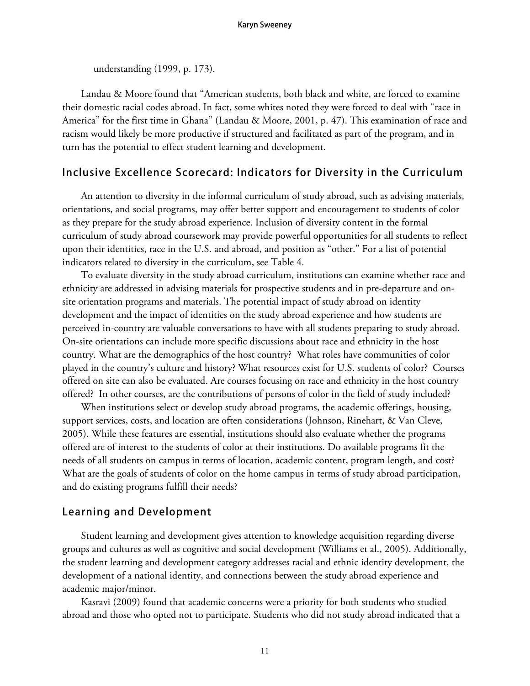understanding (1999, p. 173).

Landau & Moore found that "American students, both black and white, are forced to examine their domestic racial codes abroad. In fact, some whites noted they were forced to deal with "race in America" for the first time in Ghana" (Landau & Moore, 2001, p. 47). This examination of race and racism would likely be more productive if structured and facilitated as part of the program, and in turn has the potential to effect student learning and development.

# **Inclusive Excellence Scorecard: Indicators for Diversity in the Curriculum**

An attention to diversity in the informal curriculum of study abroad, such as advising materials, orientations, and social programs, may offer better support and encouragement to students of color as they prepare for the study abroad experience. Inclusion of diversity content in the formal curriculum of study abroad coursework may provide powerful opportunities for all students to reflect upon their identities, race in the U.S. and abroad, and position as "other." For a list of potential indicators related to diversity in the curriculum, see Table 4.

To evaluate diversity in the study abroad curriculum, institutions can examine whether race and ethnicity are addressed in advising materials for prospective students and in pre-departure and onsite orientation programs and materials. The potential impact of study abroad on identity development and the impact of identities on the study abroad experience and how students are perceived in-country are valuable conversations to have with all students preparing to study abroad. On-site orientations can include more specific discussions about race and ethnicity in the host country. What are the demographics of the host country? What roles have communities of color played in the country's culture and history? What resources exist for U.S. students of color? Courses offered on site can also be evaluated. Are courses focusing on race and ethnicity in the host country offered? In other courses, are the contributions of persons of color in the field of study included?

When institutions select or develop study abroad programs, the academic offerings, housing, support services, costs, and location are often considerations (Johnson, Rinehart, & Van Cleve, 2005). While these features are essential, institutions should also evaluate whether the programs offered are of interest to the students of color at their institutions. Do available programs fit the needs of all students on campus in terms of location, academic content, program length, and cost? What are the goals of students of color on the home campus in terms of study abroad participation, and do existing programs fulfill their needs?

### **Learning and Development**

Student learning and development gives attention to knowledge acquisition regarding diverse groups and cultures as well as cognitive and social development (Williams et al., 2005). Additionally, the student learning and development category addresses racial and ethnic identity development, the development of a national identity, and connections between the study abroad experience and academic major/minor.

Kasravi (2009) found that academic concerns were a priority for both students who studied abroad and those who opted not to participate. Students who did not study abroad indicated that a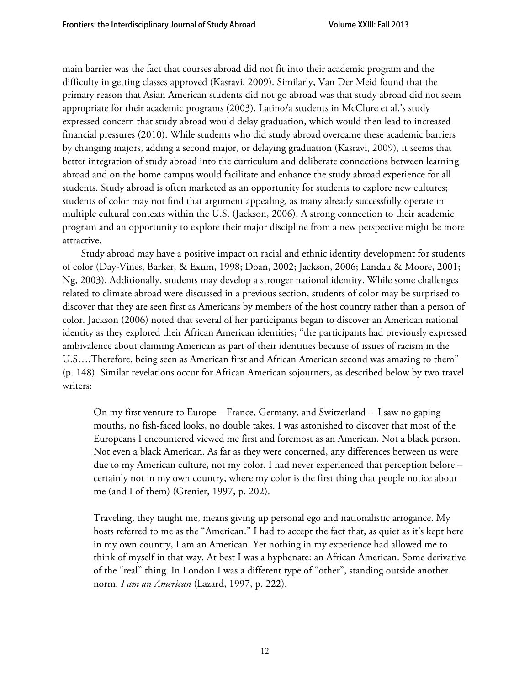main barrier was the fact that courses abroad did not fit into their academic program and the difficulty in getting classes approved (Kasravi, 2009). Similarly, Van Der Meid found that the primary reason that Asian American students did not go abroad was that study abroad did not seem appropriate for their academic programs (2003). Latino/a students in McClure et al.'s study expressed concern that study abroad would delay graduation, which would then lead to increased financial pressures (2010). While students who did study abroad overcame these academic barriers by changing majors, adding a second major, or delaying graduation (Kasravi, 2009), it seems that better integration of study abroad into the curriculum and deliberate connections between learning abroad and on the home campus would facilitate and enhance the study abroad experience for all students. Study abroad is often marketed as an opportunity for students to explore new cultures; students of color may not find that argument appealing, as many already successfully operate in multiple cultural contexts within the U.S. (Jackson, 2006). A strong connection to their academic program and an opportunity to explore their major discipline from a new perspective might be more attractive.

Study abroad may have a positive impact on racial and ethnic identity development for students of color (Day-Vines, Barker, & Exum, 1998; Doan, 2002; Jackson, 2006; Landau & Moore, 2001; Ng, 2003). Additionally, students may develop a stronger national identity. While some challenges related to climate abroad were discussed in a previous section, students of color may be surprised to discover that they are seen first as Americans by members of the host country rather than a person of color. Jackson (2006) noted that several of her participants began to discover an American national identity as they explored their African American identities; "the participants had previously expressed ambivalence about claiming American as part of their identities because of issues of racism in the U.S….Therefore, being seen as American first and African American second was amazing to them" (p. 148). Similar revelations occur for African American sojourners, as described below by two travel writers:

On my first venture to Europe – France, Germany, and Switzerland -- I saw no gaping mouths, no fish-faced looks, no double takes. I was astonished to discover that most of the Europeans I encountered viewed me first and foremost as an American. Not a black person. Not even a black American. As far as they were concerned, any differences between us were due to my American culture, not my color. I had never experienced that perception before – certainly not in my own country, where my color is the first thing that people notice about me (and I of them) (Grenier, 1997, p. 202).

Traveling, they taught me, means giving up personal ego and nationalistic arrogance. My hosts referred to me as the "American." I had to accept the fact that, as quiet as it's kept here in my own country, I am an American. Yet nothing in my experience had allowed me to think of myself in that way. At best I was a hyphenate: an African American. Some derivative of the "real" thing. In London I was a different type of "other", standing outside another norm. *I am an American* (Lazard, 1997, p. 222).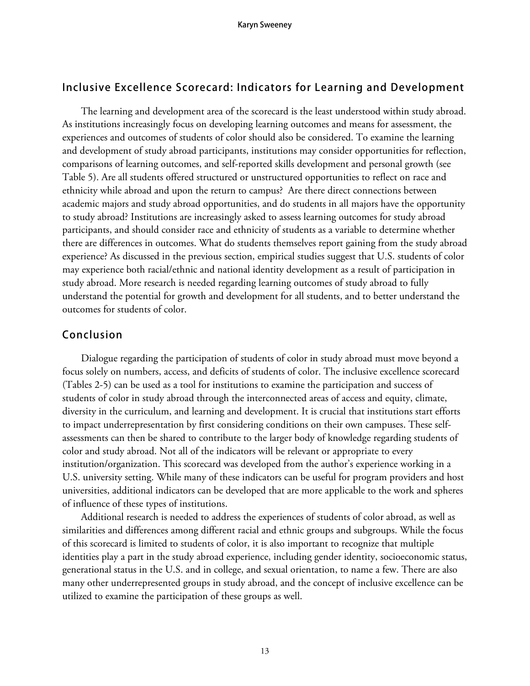# **Inclusive Excellence Scorecard: Indicators for Learning and Development**

The learning and development area of the scorecard is the least understood within study abroad. As institutions increasingly focus on developing learning outcomes and means for assessment, the experiences and outcomes of students of color should also be considered. To examine the learning and development of study abroad participants, institutions may consider opportunities for reflection, comparisons of learning outcomes, and self-reported skills development and personal growth (see Table 5). Are all students offered structured or unstructured opportunities to reflect on race and ethnicity while abroad and upon the return to campus? Are there direct connections between academic majors and study abroad opportunities, and do students in all majors have the opportunity to study abroad? Institutions are increasingly asked to assess learning outcomes for study abroad participants, and should consider race and ethnicity of students as a variable to determine whether there are differences in outcomes. What do students themselves report gaining from the study abroad experience? As discussed in the previous section, empirical studies suggest that U.S. students of color may experience both racial/ethnic and national identity development as a result of participation in study abroad. More research is needed regarding learning outcomes of study abroad to fully understand the potential for growth and development for all students, and to better understand the outcomes for students of color.

# **Conclusion**

Dialogue regarding the participation of students of color in study abroad must move beyond a focus solely on numbers, access, and deficits of students of color. The inclusive excellence scorecard (Tables 2-5) can be used as a tool for institutions to examine the participation and success of students of color in study abroad through the interconnected areas of access and equity, climate, diversity in the curriculum, and learning and development. It is crucial that institutions start efforts to impact underrepresentation by first considering conditions on their own campuses. These selfassessments can then be shared to contribute to the larger body of knowledge regarding students of color and study abroad. Not all of the indicators will be relevant or appropriate to every institution/organization. This scorecard was developed from the author's experience working in a U.S. university setting. While many of these indicators can be useful for program providers and host universities, additional indicators can be developed that are more applicable to the work and spheres of influence of these types of institutions.

Additional research is needed to address the experiences of students of color abroad, as well as similarities and differences among different racial and ethnic groups and subgroups. While the focus of this scorecard is limited to students of color, it is also important to recognize that multiple identities play a part in the study abroad experience, including gender identity, socioeconomic status, generational status in the U.S. and in college, and sexual orientation, to name a few. There are also many other underrepresented groups in study abroad, and the concept of inclusive excellence can be utilized to examine the participation of these groups as well.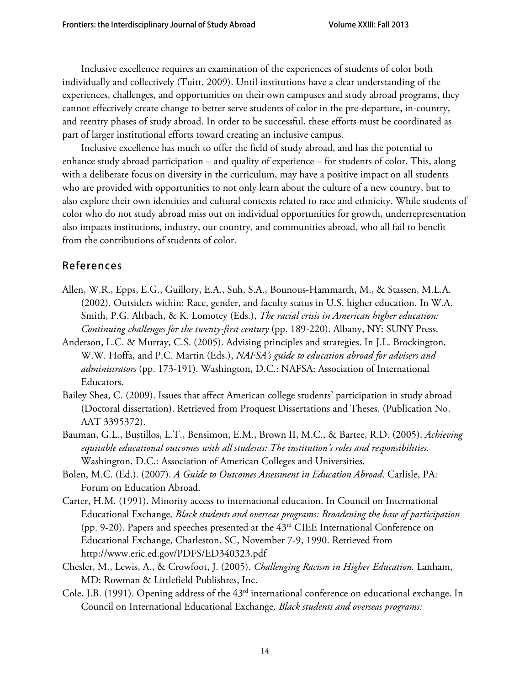Inclusive excellence requires an examination of the experiences of students of color both individually and collectively (Tuitt, 2009). Until institutions have a clear understanding of the experiences, challenges, and opportunities on their own campuses and study abroad programs, they cannot effectively create change to better serve students of color in the pre-departure, in-country, and reentry phases of study abroad. In order to be successful, these efforts must be coordinated as part of larger institutional efforts toward creating an inclusive campus.

Inclusive excellence has much to offer the field of study abroad, and has the potential to enhance study abroad participation – and quality of experience – for students of color. This, along with a deliberate focus on diversity in the curriculum, may have a positive impact on all students who are provided with opportunities to not only learn about the culture of a new country, but to also explore their own identities and cultural contexts related to race and ethnicity. While students of color who do not study abroad miss out on individual opportunities for growth, underrepresentation also impacts institutions, industry, our country, and communities abroad, who all fail to benefit from the contributions of students of color.

# **References**

- Allen, W.R., Epps, E.G., Guillory, E.A., Suh, S.A., Bounous-Hammarth, M., & Stassen, M.L.A. (2002). Outsiders within: Race, gender, and faculty status in U.S. higher education. In W.A. Smith, P.G. Altbach, & K. Lomotey (Eds.), *The racial crisis in American higher education: Continuing challenges for the twenty-first century* (pp. 189-220). Albany, NY: SUNY Press.
- Anderson, L.C. & Murray, C.S. (2005). Advising principles and strategies. In J.L. Brockington, W.W. Hoffa, and P.C. Martin (Eds.), *NAFSA's guide to education abroad for advisers and administrators* (pp. 173-191). Washington, D.C.: NAFSA: Association of International Educators.
- Bailey Shea, C. (2009). Issues that affect American college students' participation in study abroad (Doctoral dissertation). Retrieved from Proquest Dissertations and Theses. (Publication No. AAT 3395372).
- Bauman, G.L., Bustillos, L.T., Bensimon, E.M., Brown II, M.C., & Bartee, R.D. (2005). *Achieving equitable educational outcomes with all students: The institution's roles and responsibilities*. Washington, D.C.: Association of American Colleges and Universities.
- Bolen, M.C. (Ed.). (2007). *A Guide to Outcomes Assessment in Education Abroad*. Carlisle, PA: Forum on Education Abroad.
- Carter, H.M. (1991). Minority access to international education. In Council on International Educational Exchange*, Black students and overseas programs: Broadening the base of participation* (pp. 9-20). Papers and speeches presented at the 43rd CIEE International Conference on Educational Exchange, Charleston, SC, November 7-9, 1990. Retrieved from http://www.eric.ed.gov/PDFS/ED340323.pdf
- Chesler, M., Lewis, A., & Crowfoot, J. (2005). *Challenging Racism in Higher Education.* Lanham, MD: Rowman & Littlefield Publishres, Inc.
- Cole, J.B. (1991). Opening address of the 43rd international conference on educational exchange. In Council on International Educational Exchange*, Black students and overseas programs:*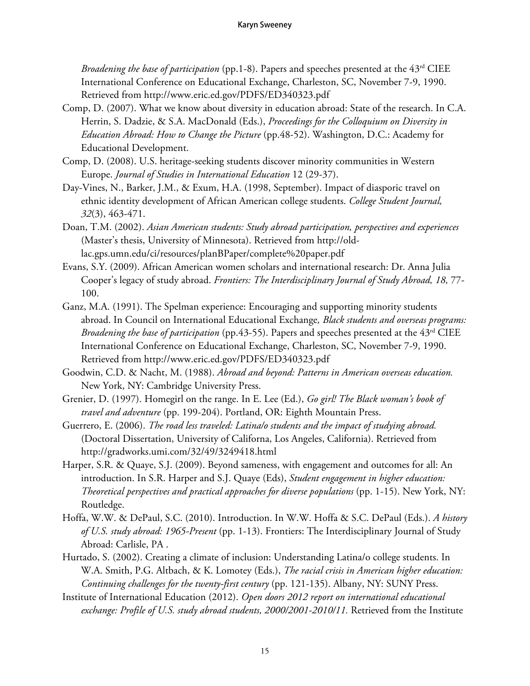*Broadening the base of participation* (pp.1-8). Papers and speeches presented at the 43rd CIEE International Conference on Educational Exchange, Charleston, SC, November 7-9, 1990. Retrieved from http://www.eric.ed.gov/PDFS/ED340323.pdf

- Comp, D. (2007). What we know about diversity in education abroad: State of the research. In C.A. Herrin, S. Dadzie, & S.A. MacDonald (Eds.), *Proceedings for the Colloquium on Diversity in Education Abroad: How to Change the Picture* (pp.48-52). Washington, D.C.: Academy for Educational Development.
- Comp, D. (2008). U.S. heritage-seeking students discover minority communities in Western Europe. *Journal of Studies in International Education* 12 (29-37).
- Day-Vines, N., Barker, J.M., & Exum, H.A. (1998, September). Impact of diasporic travel on ethnic identity development of African American college students. *College Student Journal, 32*(3), 463-471.
- Doan, T.M. (2002). *Asian American students: Study abroad participation, perspectives and experiences*  (Master's thesis, University of Minnesota). Retrieved from http://oldlac.gps.umn.edu/ci/resources/planBPaper/complete%20paper.pdf
- Evans, S.Y. (2009). African American women scholars and international research: Dr. Anna Julia Cooper's legacy of study abroad. *Frontiers: The Interdisciplinary Journal of Study Abroad*, 18, 77-100.
- Ganz, M.A. (1991). The Spelman experience: Encouraging and supporting minority students abroad. In Council on International Educational Exchange*, Black students and overseas programs: Broadening the base of participation* (pp.43-55). Papers and speeches presented at the 43rd CIEE International Conference on Educational Exchange, Charleston, SC, November 7-9, 1990. Retrieved from http://www.eric.ed.gov/PDFS/ED340323.pdf
- Goodwin, C.D. & Nacht, M. (1988). *Abroad and beyond: Patterns in American overseas education.* New York, NY: Cambridge University Press.
- Grenier, D. (1997). Homegirl on the range. In E. Lee (Ed.), *Go girl! The Black woman's book of travel and adventure* (pp. 199-204). Portland, OR: Eighth Mountain Press.
- Guerrero, E. (2006). *The road less traveled: Latina/o students and the impact of studying abroad.* (Doctoral Dissertation, University of Californa, Los Angeles, California). Retrieved from http://gradworks.umi.com/32/49/3249418.html
- Harper, S.R. & Quaye, S.J. (2009). Beyond sameness, with engagement and outcomes for all: An introduction. In S.R. Harper and S.J. Quaye (Eds), *Student engagement in higher education: Theoretical perspectives and practical approaches for diverse populations* (pp. 1-15). New York, NY: Routledge.
- Hoffa, W.W. & DePaul, S.C. (2010). Introduction. In W.W. Hoffa & S.C. DePaul (Eds.). *A history of U.S. study abroad: 1965-Present* (pp. 1-13). Frontiers: The Interdisciplinary Journal of Study Abroad: Carlisle, PA .
- Hurtado, S. (2002). Creating a climate of inclusion: Understanding Latina/o college students. In W.A. Smith, P.G. Altbach, & K. Lomotey (Eds.), *The racial crisis in American higher education: Continuing challenges for the twenty-first century* (pp. 121-135). Albany, NY: SUNY Press.
- Institute of International Education (2012). *Open doors 2012 report on international educational exchange: Profile of U.S. study abroad students, 2000/2001-2010/11.* Retrieved from the Institute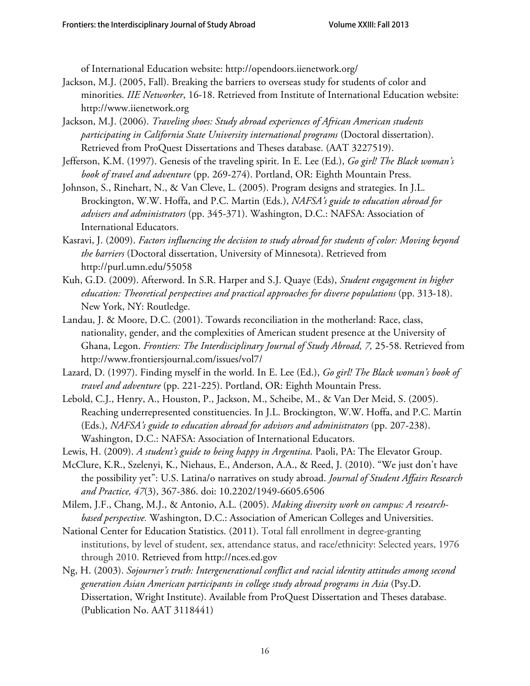of International Education website: http://opendoors.iienetwork.org/

- Jackson, M.J. (2005, Fall). Breaking the barriers to overseas study for students of color and minorities. *IIE Networker*, 16-18. Retrieved from Institute of International Education website: http://www.iienetwork.org
- Jackson, M.J. (2006). *Traveling shoes: Study abroad experiences of African American students participating in California State University international programs* (Doctoral dissertation). Retrieved from ProQuest Dissertations and Theses database. (AAT 3227519).
- Jefferson, K.M. (1997). Genesis of the traveling spirit. In E. Lee (Ed.), *Go girl! The Black woman's book of travel and adventure* (pp. 269-274). Portland, OR: Eighth Mountain Press.
- Johnson, S., Rinehart, N., & Van Cleve, L. (2005). Program designs and strategies. In J.L. Brockington, W.W. Hoffa, and P.C. Martin (Eds.), *NAFSA's guide to education abroad for advisers and administrators* (pp. 345-371). Washington, D.C.: NAFSA: Association of International Educators.
- Kasravi, J. (2009). *Factors influencing the decision to study abroad for students of color: Moving beyond the barriers* (Doctoral dissertation, University of Minnesota). Retrieved from http://purl.umn.edu/55058
- Kuh, G.D. (2009). Afterword. In S.R. Harper and S.J. Quaye (Eds), *Student engagement in higher education: Theoretical perspectives and practical approaches for diverse populations* (pp. 313-18). New York, NY: Routledge.
- Landau, J. & Moore, D.C. (2001). Towards reconciliation in the motherland: Race, class, nationality, gender, and the complexities of American student presence at the University of Ghana, Legon. *Frontiers: The Interdisciplinary Journal of Study Abroad, 7,* 25-58. Retrieved from http://www.frontiersjournal.com/issues/vol7/
- Lazard, D. (1997). Finding myself in the world. In E. Lee (Ed.), *Go girl! The Black woman's book of travel and adventure* (pp. 221-225). Portland, OR: Eighth Mountain Press.
- Lebold, C.J., Henry, A., Houston, P., Jackson, M., Scheibe, M., & Van Der Meid, S. (2005). Reaching underrepresented constituencies. In J.L. Brockington, W.W. Hoffa, and P.C. Martin (Eds.), *NAFSA's guide to education abroad for advisors and administrators* (pp. 207-238). Washington, D.C.: NAFSA: Association of International Educators.
- Lewis, H. (2009). *A student's guide to being happy in Argentina*. Paoli, PA: The Elevator Group.
- McClure, K.R., Szelenyi, K., Niehaus, E., Anderson, A.A., & Reed, J. (2010). "We just don't have the possibility yet": U.S. Latina/o narratives on study abroad. *Journal of Student Affairs Research and Practice, 47*(3), 367-386. doi: 10.2202/1949-6605.6506
- Milem, J.F., Chang, M.J., & Antonio, A.L. (2005). *Making diversity work on campus: A researchbased perspective.* Washington, D.C.: Association of American Colleges and Universities.
- National Center for Education Statistics. (2011). Total fall enrollment in degree-granting institutions, by level of student, sex, attendance status, and race/ethnicity: Selected years, 1976 through 2010. Retrieved from http://nces.ed.gov
- Ng, H. (2003). *Sojourner's truth: Intergenerational conflict and racial identity attitudes among second generation Asian American participants in college study abroad programs in Asia* (Psy.D. Dissertation, Wright Institute). Available from ProQuest Dissertation and Theses database. (Publication No. AAT 3118441)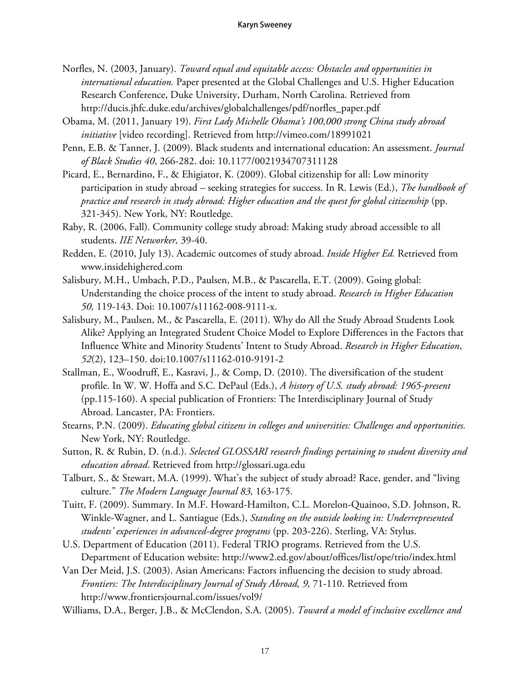- Norfles, N. (2003, January). *Toward equal and equitable access: Obstacles and opportunities in international education.* Paper presented at the Global Challenges and U.S. Higher Education Research Conference, Duke University, Durham, North Carolina. Retrieved from http://ducis.jhfc.duke.edu/archives/globalchallenges/pdf/norfles\_paper.pdf
- Obama, M. (2011, January 19). *First Lady Michelle Obama's 100,000 strong China study abroad initiative* [video recording]. Retrieved from http://vimeo.com/18991021
- Penn, E.B. & Tanner, J. (2009). Black students and international education: An assessment. *Journal of Black Studies 40*, 266-282. doi: 10.1177/0021934707311128
- Picard, E., Bernardino, F., & Ehigiator, K. (2009). Global citizenship for all: Low minority participation in study abroad – seeking strategies for success. In R. Lewis (Ed.), *The handbook of practice and research in study abroad: Higher education and the quest for global citizenship* (pp. 321-345). New York, NY: Routledge.
- Raby, R. (2006, Fall). Community college study abroad: Making study abroad accessible to all students. *IIE Networker,* 39-40.
- Redden, E. (2010, July 13). Academic outcomes of study abroad. *Inside Higher Ed.* Retrieved from www.insidehighered.com
- Salisbury, M.H., Umbach, P.D., Paulsen, M.B., & Pascarella, E.T. (2009). Going global: Understanding the choice process of the intent to study abroad. *Research in Higher Education 50,* 119-143. Doi: 10.1007/s11162-008-9111-x.
- Salisbury, M., Paulsen, M., & Pascarella, E. (2011). Why do All the Study Abroad Students Look Alike? Applying an Integrated Student Choice Model to Explore Differences in the Factors that Influence White and Minority Students' Intent to Study Abroad. *Research in Higher Education*, *52*(2), 123–150. doi:10.1007/s11162-010-9191-2
- Stallman, E., Woodruff, E., Kasravi, J., & Comp, D. (2010). The diversification of the student profile. In W. W. Hoffa and S.C. DePaul (Eds.), *A history of U.S. study abroad: 1965-present*  (pp.115-160). A special publication of Frontiers: The Interdisciplinary Journal of Study Abroad. Lancaster, PA: Frontiers.
- Stearns, P.N. (2009). *Educating global citizens in colleges and universities: Challenges and opportunities.* New York, NY: Routledge.
- Sutton, R. & Rubin, D. (n.d.). *Selected GLOSSARI research findings pertaining to student diversity and education abroad*. Retrieved from http://glossari.uga.edu
- Talburt, S., & Stewart, M.A. (1999). What's the subject of study abroad? Race, gender, and "living culture." *The Modern Language Journal 83,* 163-175.
- Tuitt, F. (2009). Summary. In M.F. Howard-Hamilton, C.L. Morelon-Quainoo, S.D. Johnson, R. Winkle-Wagner, and L. Santiague (Eds.), *Standing on the outside looking in: Underrepresented students' experiences in advanced-degree programs* (pp. 203-226). Sterling, VA: Stylus.
- U.S. Department of Education (2011). Federal TRIO programs. Retrieved from the U.S. Department of Education website: http://www2.ed.gov/about/offices/list/ope/trio/index.html
- Van Der Meid, J.S. (2003). Asian Americans: Factors influencing the decision to study abroad. *Frontiers: The Interdisciplinary Journal of Study Abroad, 9,* 71-110. Retrieved from http://www.frontiersjournal.com/issues/vol9/
- Williams, D.A., Berger, J.B., & McClendon, S.A. (2005). *Toward a model of inclusive excellence and*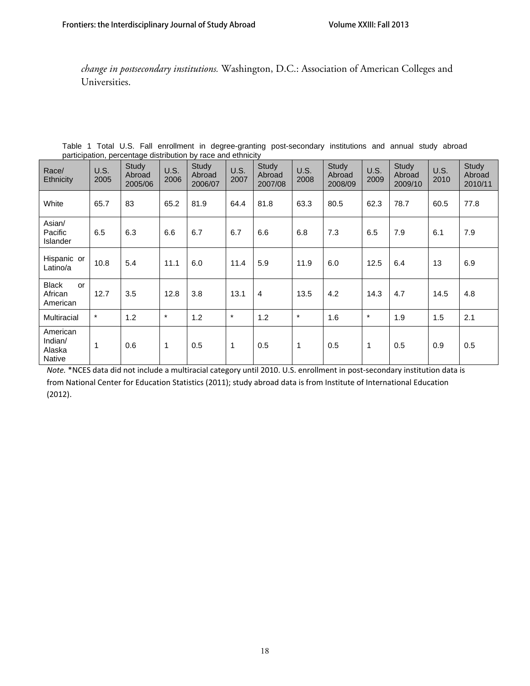*change in postsecondary institutions.* Washington, D.C.: Association of American Colleges and Universities.

| Race/<br>Ethnicity                             | U.S.<br>2005 | Study<br>Abroad<br>2005/06 | U.S.<br>2006 | Study<br>Abroad<br>2006/07 | U.S.<br>2007 | Study<br>Abroad<br>2007/08 | <b>U.S.</b><br>2008 | Study<br>Abroad<br>2008/09 | U.S.<br>2009 | Study<br>Abroad<br>2009/10 | U.S.<br>2010 | Study<br>Abroad<br>2010/11 |
|------------------------------------------------|--------------|----------------------------|--------------|----------------------------|--------------|----------------------------|---------------------|----------------------------|--------------|----------------------------|--------------|----------------------------|
| White                                          | 65.7         | 83                         | 65.2         | 81.9                       | 64.4         | 81.8                       | 63.3                | 80.5                       | 62.3         | 78.7                       | 60.5         | 77.8                       |
| Asian/<br>Pacific<br><b>Islander</b>           | 6.5          | 6.3                        | 6.6          | 6.7                        | 6.7          | 6.6                        | 6.8                 | 7.3                        | 6.5          | 7.9                        | 6.1          | 7.9                        |
| Hispanic or<br>Latino/a                        | 10.8         | 5.4                        | 11.1         | 6.0                        | 11.4         | 5.9                        | 11.9                | 6.0                        | 12.5         | 6.4                        | 13           | 6.9                        |
| <b>Black</b><br>or<br>African<br>American      | 12.7         | 3.5                        | 12.8         | 3.8                        | 13.1         | $\overline{4}$             | 13.5                | 4.2                        | 14.3         | 4.7                        | 14.5         | 4.8                        |
| <b>Multiracial</b>                             | $\star$      | 1.2                        | $\star$      | 1.2                        | $\star$      | 1.2                        | $\star$             | 1.6                        | $\star$      | 1.9                        | 1.5          | 2.1                        |
| American<br>Indian/<br>Alaska<br><b>Native</b> | $\mathbf{1}$ | 0.6                        | $\mathbf 1$  | 0.5                        | $\mathbf{1}$ | 0.5                        | 1                   | 0.5                        | $\mathbf{1}$ | 0.5                        | 0.9          | 0.5                        |

Table 1 Total U.S. Fall enrollment in degree-granting post-secondary institutions and annual study abroad participation, percentage distribution by race and ethnicity

*Note.* \*NCES data did not include a multiracial category until 2010. U.S. enrollment in post‐secondary institution data is from National Center for Education Statistics (2011); study abroad data is from Institute of International Education (2012).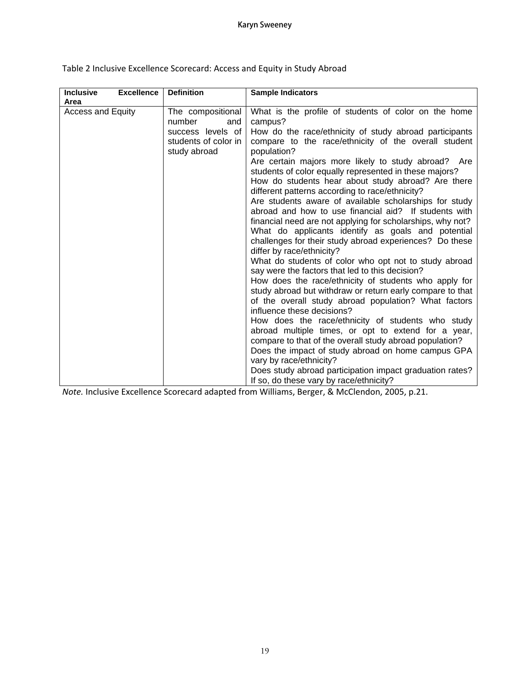| <b>Inclusive</b><br>Area | <b>Excellence</b> | <b>Definition</b>                                                                               | <b>Sample Indicators</b>                                                                                                                                                                                                                                                                                                                                                                                                                                                                                                                                                                                                                                                                                                                                                                                                                                                                                                                                                                                                                                                                                                                                                                                                                                                                                                                                                                                                                         |
|--------------------------|-------------------|-------------------------------------------------------------------------------------------------|--------------------------------------------------------------------------------------------------------------------------------------------------------------------------------------------------------------------------------------------------------------------------------------------------------------------------------------------------------------------------------------------------------------------------------------------------------------------------------------------------------------------------------------------------------------------------------------------------------------------------------------------------------------------------------------------------------------------------------------------------------------------------------------------------------------------------------------------------------------------------------------------------------------------------------------------------------------------------------------------------------------------------------------------------------------------------------------------------------------------------------------------------------------------------------------------------------------------------------------------------------------------------------------------------------------------------------------------------------------------------------------------------------------------------------------------------|
| <b>Access and Equity</b> |                   | The compositional<br>number<br>and<br>success levels of<br>students of color in<br>study abroad | What is the profile of students of color on the home<br>campus?<br>How do the race/ethnicity of study abroad participants<br>compare to the race/ethnicity of the overall student<br>population?<br>Are certain majors more likely to study abroad? Are<br>students of color equally represented in these majors?<br>How do students hear about study abroad? Are there<br>different patterns according to race/ethnicity?<br>Are students aware of available scholarships for study<br>abroad and how to use financial aid? If students with<br>financial need are not applying for scholarships, why not?<br>What do applicants identify as goals and potential<br>challenges for their study abroad experiences? Do these<br>differ by race/ethnicity?<br>What do students of color who opt not to study abroad<br>say were the factors that led to this decision?<br>How does the race/ethnicity of students who apply for<br>study abroad but withdraw or return early compare to that<br>of the overall study abroad population? What factors<br>influence these decisions?<br>How does the race/ethnicity of students who study<br>abroad multiple times, or opt to extend for a year,<br>compare to that of the overall study abroad population?<br>Does the impact of study abroad on home campus GPA<br>vary by race/ethnicity?<br>Does study abroad participation impact graduation rates?<br>If so, do these vary by race/ethnicity? |

Table 2 Inclusive Excellence Scorecard: Access and Equity in Study Abroad

*Note.* Inclusive Excellence Scorecard adapted from Williams, Berger, & McClendon, 2005, p.21.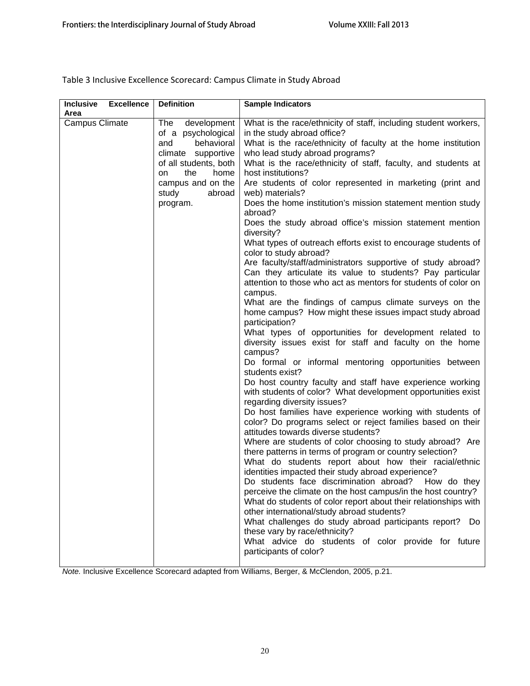Table 3 Inclusive Excellence Scorecard: Campus Climate in Study Abroad

| <b>Excellence</b><br><b>Inclusive</b> | <b>Definition</b>                                                                                                                                                         | Sample Indicators                                                                                                                                                                                                                                                                                                                                                         |
|---------------------------------------|---------------------------------------------------------------------------------------------------------------------------------------------------------------------------|---------------------------------------------------------------------------------------------------------------------------------------------------------------------------------------------------------------------------------------------------------------------------------------------------------------------------------------------------------------------------|
| Area                                  |                                                                                                                                                                           |                                                                                                                                                                                                                                                                                                                                                                           |
| Campus Climate                        | The<br>development<br>of a psychological<br>behavioral<br>and<br>climate supportive<br>of all students, both<br>the<br>home<br>on<br>campus and on the<br>study<br>abroad | What is the race/ethnicity of staff, including student workers,<br>in the study abroad office?<br>What is the race/ethnicity of faculty at the home institution<br>who lead study abroad programs?<br>What is the race/ethnicity of staff, faculty, and students at<br>host institutions?<br>Are students of color represented in marketing (print and<br>web) materials? |
|                                       | program.                                                                                                                                                                  | Does the home institution's mission statement mention study<br>abroad?<br>Does the study abroad office's mission statement mention                                                                                                                                                                                                                                        |
|                                       |                                                                                                                                                                           | diversity?<br>What types of outreach efforts exist to encourage students of<br>color to study abroad?                                                                                                                                                                                                                                                                     |
|                                       |                                                                                                                                                                           | Are faculty/staff/administrators supportive of study abroad?<br>Can they articulate its value to students? Pay particular<br>attention to those who act as mentors for students of color on<br>campus.                                                                                                                                                                    |
|                                       |                                                                                                                                                                           | What are the findings of campus climate surveys on the<br>home campus? How might these issues impact study abroad<br>participation?                                                                                                                                                                                                                                       |
|                                       |                                                                                                                                                                           | What types of opportunities for development related to<br>diversity issues exist for staff and faculty on the home<br>campus?<br>Do formal or informal mentoring opportunities between                                                                                                                                                                                    |
|                                       |                                                                                                                                                                           | students exist?<br>Do host country faculty and staff have experience working<br>with students of color? What development opportunities exist<br>regarding diversity issues?                                                                                                                                                                                               |
|                                       |                                                                                                                                                                           | Do host families have experience working with students of<br>color? Do programs select or reject families based on their<br>attitudes towards diverse students?                                                                                                                                                                                                           |
|                                       |                                                                                                                                                                           | Where are students of color choosing to study abroad? Are<br>there patterns in terms of program or country selection?<br>What do students report about how their racial/ethnic<br>identities impacted their study abroad experience?<br>Do students face discrimination abroad? How do they<br>perceive the climate on the host campus/in the host country?               |
|                                       |                                                                                                                                                                           | What do students of color report about their relationships with<br>other international/study abroad students?<br>What challenges do study abroad participants report? Do<br>these vary by race/ethnicity?<br>What advice do students of color provide for future<br>participants of color?                                                                                |
|                                       |                                                                                                                                                                           |                                                                                                                                                                                                                                                                                                                                                                           |

*Note.* Inclusive Excellence Scorecard adapted from Williams, Berger, & McClendon, 2005, p.21.